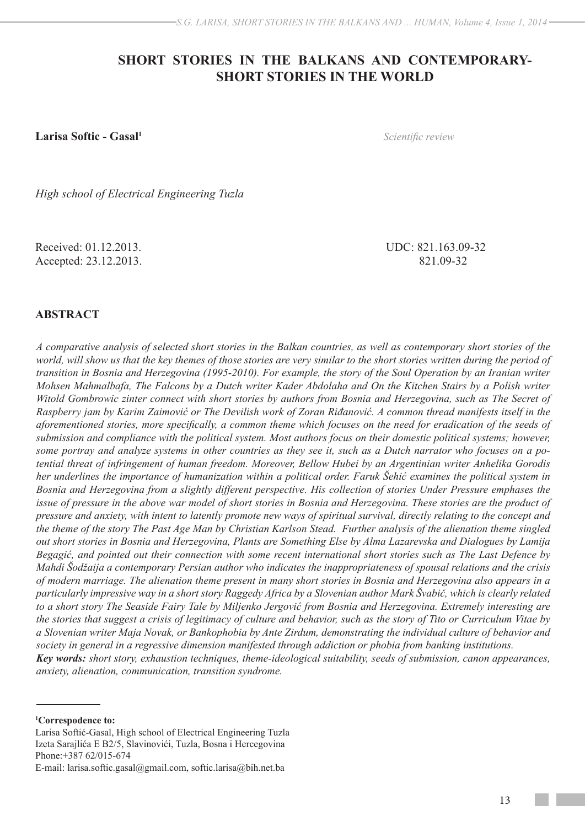# **SHORT STORIES IN THE BALKANS AND CONTEMPORARY-SHORT STORIES IN THE WORLD**

**Larisa Softic - Gasal1**

*Scientific review*

*High school of Electrical Engineering Tuzla*

Received: 01.12.2013. UDC: 821.163.09-32 Accepted: 23.12.2013. 821.09-32

## **ABSTRACT**

*A comparative analysis of selected short stories in the Balkan countries, as well as contemporary short stories of the world, will show us that the key themes of those stories are very similar to the short stories written during the period of transition in Bosnia and Herzegovina (1995-2010). For example, the story of the Soul Operation by an Iranian writer Mohsen Mahmalbafa, The Falcons by a Dutch writer Kader Abdolaha and On the Kitchen Stairs by a Polish writer Witold Gombrowic zinter connect with short stories by authors from Bosnia and Herzegovina, such as The Secret of Raspberry jam by Karim Zaimović or The Devilish work of Zoran Riđanović. A common thread manifests itself in the aforementioned stories, more specifically, a common theme which focuses on the need for eradication of the seeds of submission and compliance with the political system. Most authors focus on their domestic political systems; however, some portray and analyze systems in other countries as they see it, such as a Dutch narrator who focuses on a potential threat of infringement of human freedom. Moreover, Bellow Hubei by an Argentinian writer Anhelika Gorodis her underlines the importance of humanization within a political order. Faruk Šehić examines the political system in Bosnia and Herzegovina from a slightly different perspective. His collection of stories Under Pressure emphases the issue of pressure in the above war model of short stories in Bosnia and Herzegovina. These stories are the product of pressure and anxiety, with intent to latently promote new ways of spiritual survival, directly relating to the concept and the theme of the story The Past Age Man by Christian Karlson Stead. Further analysis of the alienation theme singled out short stories in Bosnia and Herzegovina, Plants are Something Else by Alma Lazarevska and Dialogues by Lamija Begagić, and pointed out their connection with some recent international short stories such as The Last Defence by Mahdi Šodžaija a contemporary Persian author who indicates the inappropriateness of spousal relations and the crisis of modern marriage. The alienation theme present in many short stories in Bosnia and Herzegovina also appears in a particularly impressive way in a short story Raggedy Africa by a Slovenian author Mark Švabič, which is clearly related to a short story The Seaside Fairy Tale by Miljenko Jergović from Bosnia and Herzegovina. Extremely interesting are the stories that suggest a crisis of legitimacy of culture and behavior, such as the story of Tito or Curriculum Vitae by a Slovenian writer Maja Novak, or Bankophobia by Ante Zirdum, demonstrating the individual culture of behavior and society in general in a regressive dimension manifested through addiction or phobia from banking institutions. Key words: short story, exhaustion techniques, theme-ideological suitability, seeds of submission, canon appearances, anxiety, alienation, communication, transition syndrome.*

Larisa Softić-Gasal, High school of Electrical Engineering Tuzla Izeta Sarajlića E B2/5, Slavinovići, Tuzla, Bosna i Hercegovina Phone:+387 62/015-674

**<sup>1</sup> Correspodence to:**

E-mail: larisa.softic.gasal@gmail.com, softic.larisa@bih.net.ba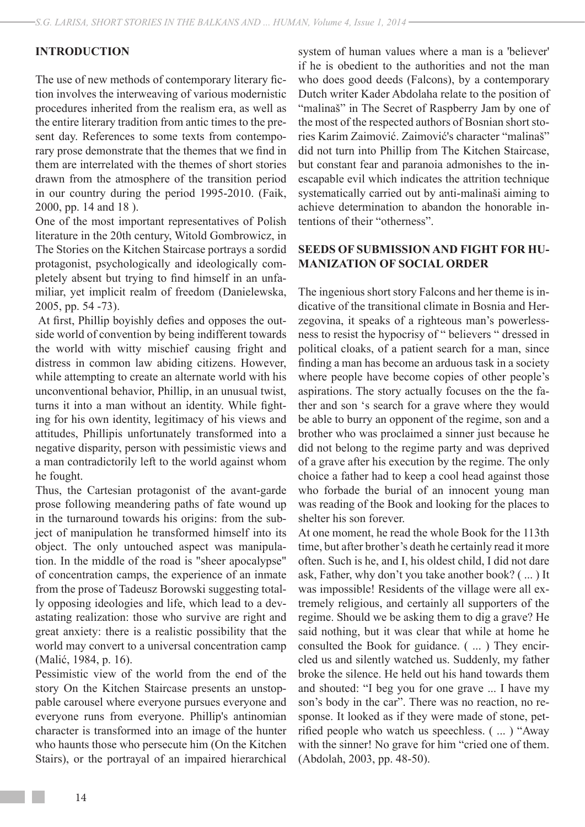## **INTRODUCTION**

The use of new methods of contemporary literary fiction involves the interweaving of various modernistic procedures inherited from the realism era, as well as the entire literary tradition from antic times to the present day. References to some texts from contemporary prose demonstrate that the themes that we find in them are interrelated with the themes of short stories drawn from the atmosphere of the transition period in our country during the period 1995-2010. (Faik, 2000, pp. 14 and 18 ).

One of the most important representatives of Polish literature in the 20th century, Witold Gombrowicz, in The Stories on the Kitchen Staircase portrays a sordid protagonist, psychologically and ideologically completely absent but trying to find himself in an unfamiliar, yet implicit realm of freedom (Danielewska, 2005, pp. 54 -73).

 At first, Phillip boyishly defies and opposes the outside world of convention by being indifferent towards the world with witty mischief causing fright and distress in common law abiding citizens. However, while attempting to create an alternate world with his unconventional behavior, Phillip, in an unusual twist, turns it into a man without an identity. While fighting for his own identity, legitimacy of his views and attitudes, Phillipis unfortunately transformed into a negative disparity, person with pessimistic views and a man contradictorily left to the world against whom he fought.

Thus, the Cartesian protagonist of the avant-garde prose following meandering paths of fate wound up in the turnaround towards his origins: from the subject of manipulation he transformed himself into its object. The only untouched aspect was manipulation. In the middle of the road is "sheer apocalypse" of concentration camps, the experience of an inmate from the prose of Tadeusz Borowski suggesting totally opposing ideologies and life, which lead to a devastating realization: those who survive are right and great anxiety: there is a realistic possibility that the world may convert to a universal concentration camp (Malić, 1984, p. 16).

Pessimistic view of the world from the end of the story On the Kitchen Staircase presents an unstoppable carousel where everyone pursues everyone and everyone runs from everyone. Phillip's antinomian character is transformed into an image of the hunter who haunts those who persecute him (On the Kitchen Stairs), or the portrayal of an impaired hierarchical

system of human values where a man is a 'believer' if he is obedient to the authorities and not the man who does good deeds (Falcons), by a contemporary Dutch writer Kader Abdolaha relate to the position of "malinaš" in The Secret of Raspberry Jam by one of the most of the respected authors of Bosnian short stories Karim Zaimović. Zaimović's character "malinaš" did not turn into Phillip from The Kitchen Staircase, but constant fear and paranoia admonishes to the inescapable evil which indicates the attrition technique systematically carried out by anti-malinaši aiming to achieve determination to abandon the honorable intentions of their "otherness".

## **SEEDS OF SUBMISSION AND FIGHT FOR HU-MANIZATION OF SOCIAL ORDER**

The ingenious short story Falcons and her theme is indicative of the transitional climate in Bosnia and Herzegovina, it speaks of a righteous man's powerlessness to resist the hypocrisy of " believers " dressed in political cloaks, of a patient search for a man, since finding a man has become an arduous task in a society where people have become copies of other people's aspirations. The story actually focuses on the the father and son 's search for a grave where they would be able to burry an opponent of the regime, son and a brother who was proclaimed a sinner just because he did not belong to the regime party and was deprived of a grave after his execution by the regime. The only choice a father had to keep a cool head against those who forbade the burial of an innocent young man was reading of the Book and looking for the places to shelter his son forever.

At one moment, he read the whole Book for the 113th time, but after brother's death he certainly read it more often. Such is he, and I, his oldest child, I did not dare ask, Father, why don't you take another book? ( ... ) It was impossible! Residents of the village were all extremely religious, and certainly all supporters of the regime. Should we be asking them to dig a grave? He said nothing, but it was clear that while at home he consulted the Book for guidance. ( ... ) They encircled us and silently watched us. Suddenly, my father broke the silence. He held out his hand towards them and shouted: "I beg you for one grave ... I have my son's body in the car". There was no reaction, no response. It looked as if they were made of stone, petrified people who watch us speechless. ( ... ) "Away with the sinner! No grave for him "cried one of them. (Abdolah, 2003, pp. 48-50).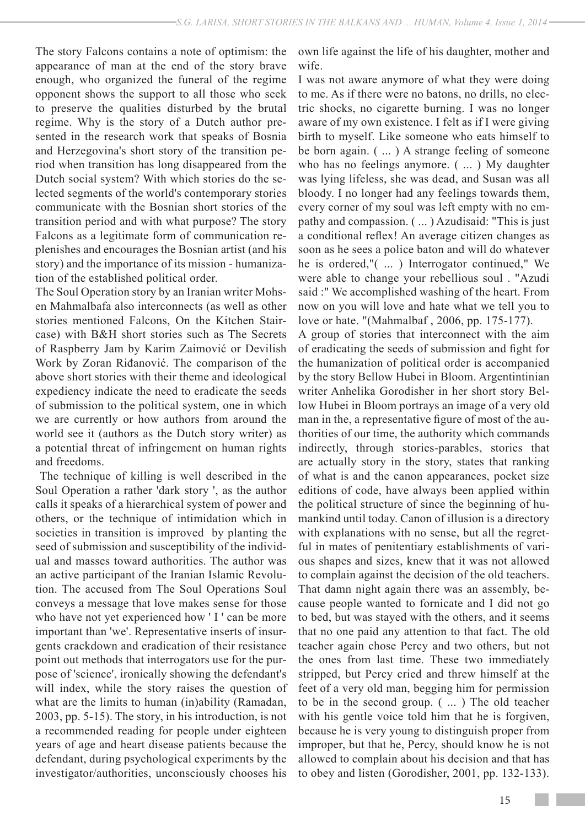The story Falcons contains a note of optimism: the appearance of man at the end of the story brave enough, who organized the funeral of the regime opponent shows the support to all those who seek to preserve the qualities disturbed by the brutal regime. Why is the story of a Dutch author presented in the research work that speaks of Bosnia and Herzegovina's short story of the transition period when transition has long disappeared from the Dutch social system? With which stories do the selected segments of the world's contemporary stories communicate with the Bosnian short stories of the transition period and with what purpose? The story Falcons as a legitimate form of communication replenishes and encourages the Bosnian artist (and his story) and the importance of its mission - humanization of the established political order.

The Soul Operation story by an Iranian writer Mohsen Mahmalbafa also interconnects (as well as other stories mentioned Falcons, On the Kitchen Staircase) with B&H short stories such as The Secrets of Raspberry Jam by Karim Zaimović or Devilish Work by Zoran Riđanović. The comparison of the above short stories with their theme and ideological expediency indicate the need to eradicate the seeds of submission to the political system, one in which we are currently or how authors from around the world see it (authors as the Dutch story writer) as a potential threat of infringement on human rights and freedoms.

 The technique of killing is well described in the Soul Operation a rather 'dark story ', as the author calls it speaks of a hierarchical system of power and others, or the technique of intimidation which in societies in transition is improved by planting the seed of submission and susceptibility of the individual and masses toward authorities. The author was an active participant of the Iranian Islamic Revolution. The accused from The Soul Operations Soul conveys a message that love makes sense for those who have not yet experienced how 'I' can be more important than 'we'. Representative inserts of insurgents crackdown and eradication of their resistance point out methods that interrogators use for the purpose of 'science', ironically showing the defendant's will index, while the story raises the question of what are the limits to human (in)ability (Ramadan, 2003, pp. 5-15). The story, in his introduction, is not a recommended reading for people under eighteen years of age and heart disease patients because the defendant, during psychological experiments by the investigator/authorities, unconsciously chooses his

own life against the life of his daughter, mother and wife.

I was not aware anymore of what they were doing to me. As if there were no batons, no drills, no electric shocks, no cigarette burning. I was no longer aware of my own existence. I felt as if I were giving birth to myself. Like someone who eats himself to be born again. ( ... ) A strange feeling of someone who has no feelings anymore. ( ... ) My daughter was lying lifeless, she was dead, and Susan was all bloody. I no longer had any feelings towards them, every corner of my soul was left empty with no empathy and compassion. ( ... ) Azudisaid: "This is just a conditional reflex! An average citizen changes as soon as he sees a police baton and will do whatever he is ordered,"( ... ) Interrogator continued," We were able to change your rebellious soul . "Azudi said :" We accomplished washing of the heart. From now on you will love and hate what we tell you to love or hate. "(Mahmalbaf , 2006, pp. 175-177).

A group of stories that interconnect with the aim of eradicating the seeds of submission and fight for the humanization of political order is accompanied by the story Bellow Hubei in Bloom. Argentintinian writer Anhelika Gorodisher in her short story Bellow Hubei in Bloom portrays an image of a very old man in the, a representative figure of most of the authorities of our time, the authority which commands indirectly, through stories-parables, stories that are actually story in the story, states that ranking of what is and the canon appearances, pocket size editions of code, have always been applied within the political structure of since the beginning of humankind until today. Canon of illusion is a directory with explanations with no sense, but all the regretful in mates of penitentiary establishments of various shapes and sizes, knew that it was not allowed to complain against the decision of the old teachers. That damn night again there was an assembly, because people wanted to fornicate and I did not go to bed, but was stayed with the others, and it seems that no one paid any attention to that fact. The old teacher again chose Percy and two others, but not the ones from last time. These two immediately stripped, but Percy cried and threw himself at the feet of a very old man, begging him for permission to be in the second group. ( ... ) The old teacher with his gentle voice told him that he is forgiven, because he is very young to distinguish proper from improper, but that he, Percy, should know he is not allowed to complain about his decision and that has to obey and listen (Gorodisher, 2001, pp. 132-133).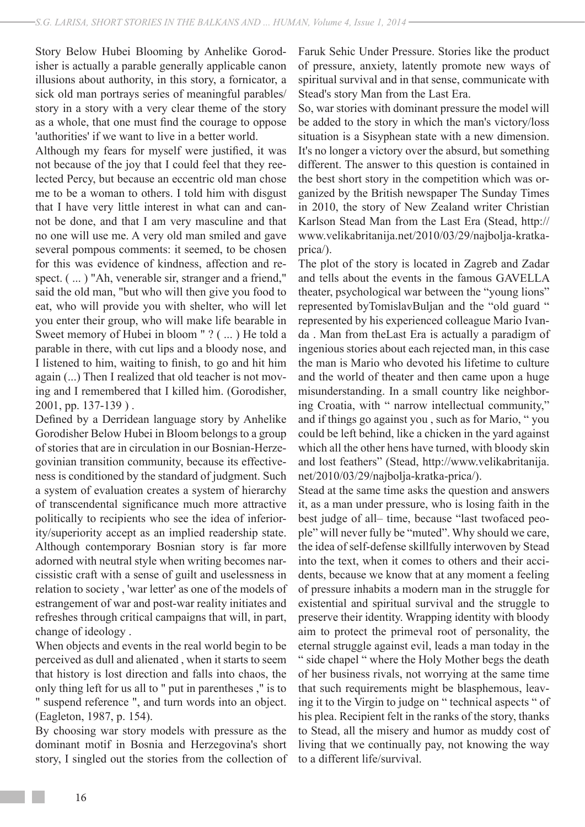Story Below Hubei Blooming by Anhelike Gorodisher is actually a parable generally applicable canon illusions about authority, in this story, a fornicator, a sick old man portrays series of meaningful parables/ story in a story with a very clear theme of the story as a whole, that one must find the courage to oppose 'authorities' if we want to live in a better world.

Although my fears for myself were justified, it was not because of the joy that I could feel that they reelected Percy, but because an eccentric old man chose me to be a woman to others. I told him with disgust that I have very little interest in what can and cannot be done, and that I am very masculine and that no one will use me. A very old man smiled and gave several pompous comments: it seemed, to be chosen for this was evidence of kindness, affection and respect. (...) "Ah, venerable sir, stranger and a friend," said the old man, "but who will then give you food to eat, who will provide you with shelter, who will let you enter their group, who will make life bearable in Sweet memory of Hubei in bloom " ? ( ... ) He told a parable in there, with cut lips and a bloody nose, and I listened to him, waiting to finish, to go and hit him again (...) Then I realized that old teacher is not moving and I remembered that I killed him. (Gorodisher, 2001, pp. 137-139 ) .

Defined by a Derridean language story by Anhelike Gorodisher Below Hubei in Bloom belongs to a group of stories that are in circulation in our Bosnian-Herzegovinian transition community, because its effectiveness is conditioned by the standard of judgment. Such a system of evaluation creates a system of hierarchy of transcendental significance much more attractive politically to recipients who see the idea of inferiority/superiority accept as an implied readership state. Although contemporary Bosnian story is far more adorned with neutral style when writing becomes narcissistic craft with a sense of guilt and uselessness in relation to society , 'war letter' as one of the models of estrangement of war and post-war reality initiates and refreshes through critical campaigns that will, in part, change of ideology .

When objects and events in the real world begin to be perceived as dull and alienated , when it starts to seem that history is lost direction and falls into chaos, the only thing left for us all to " put in parentheses ," is to " suspend reference ", and turn words into an object. (Eagleton, 1987, p. 154).

By choosing war story models with pressure as the dominant motif in Bosnia and Herzegovina's short story, I singled out the stories from the collection of Faruk Sehic Under Pressure. Stories like the product of pressure, anxiety, latently promote new ways of spiritual survival and in that sense, communicate with Stead's story Man from the Last Era.

So, war stories with dominant pressure the model will be added to the story in which the man's victory/loss situation is a Sisyphean state with a new dimension. It's no longer a victory over the absurd, but something different. The answer to this question is contained in the best short story in the competition which was organized by the British newspaper The Sunday Times in 2010, the story of New Zealand writer Christian Karlson Stead Man from the Last Era (Stead, http:// www.velikabritanija.net/2010/03/29/najbolja-kratkaprica/).

The plot of the story is located in Zagreb and Zadar and tells about the events in the famous GAVELLA theater, psychological war between the "young lions" represented byTomislavBuljan and the "old guard " represented by his experienced colleague Mario Ivanda . Man from theLast Era is actually a paradigm of ingenious stories about each rejected man, in this case the man is Mario who devoted his lifetime to culture and the world of theater and then came upon a huge misunderstanding. In a small country like neighboring Croatia, with " narrow intellectual community," and if things go against you , such as for Mario, " you could be left behind, like a chicken in the yard against which all the other hens have turned, with bloody skin and lost feathers" (Stead, http://www.velikabritanija. net/2010/03/29/najbolja-kratka-prica/).

Stead at the same time asks the question and answers it, as a man under pressure, who is losing faith in the best judge of all– time, because "last twofaced people" will never fully be "muted". Why should we care, the idea of self-defense skillfully interwoven by Stead into the text, when it comes to others and their accidents, because we know that at any moment a feeling of pressure inhabits a modern man in the struggle for existential and spiritual survival and the struggle to preserve their identity. Wrapping identity with bloody aim to protect the primeval root of personality, the eternal struggle against evil, leads a man today in the " side chapel " where the Holy Mother begs the death of her business rivals, not worrying at the same time that such requirements might be blasphemous, leaving it to the Virgin to judge on " technical aspects " of his plea. Recipient felt in the ranks of the story, thanks to Stead, all the misery and humor as muddy cost of living that we continually pay, not knowing the way to a different life/survival.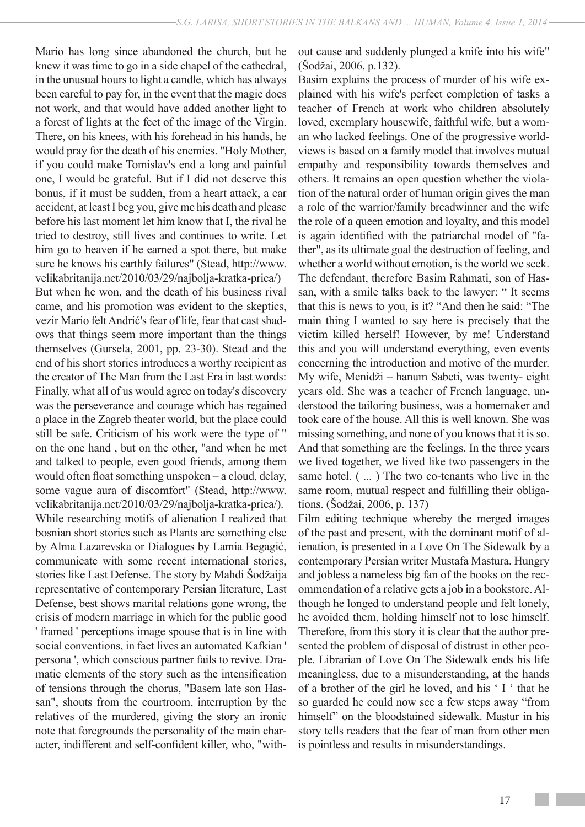Mario has long since abandoned the church, but he knew it was time to go in a side chapel of the cathedral, in the unusual hours to light a candle, which has always been careful to pay for, in the event that the magic does not work, and that would have added another light to a forest of lights at the feet of the image of the Virgin. There, on his knees, with his forehead in his hands, he would pray for the death of his enemies. "Holy Mother, if you could make Tomislav's end a long and painful one, I would be grateful. But if I did not deserve this bonus, if it must be sudden, from a heart attack, a car accident, at least I beg you, give me his death and please before his last moment let him know that I, the rival he tried to destroy, still lives and continues to write. Let him go to heaven if he earned a spot there, but make sure he knows his earthly failures" (Stead, http://www. velikabritanija.net/2010/03/29/najbolja-kratka-prica/) But when he won, and the death of his business rival came, and his promotion was evident to the skeptics, vezir Mario felt Andrić's fear of life, fear that cast shadows that things seem more important than the things themselves (Gursela, 2001, pp. 23-30). Stead and the end of his short stories introduces a worthy recipient as the creator of The Man from the Last Era in last words: Finally, what all of us would agree on today's discovery was the perseverance and courage which has regained a place in the Zagreb theater world, but the place could still be safe. Criticism of his work were the type of " on the one hand , but on the other, "and when he met and talked to people, even good friends, among them would often float something unspoken – a cloud, delay, some vague aura of discomfort" (Stead, http://www. velikabritanija.net/2010/03/29/najbolja-kratka-prica/). While researching motifs of alienation I realized that bosnian short stories such as Plants are something else by Alma Lazarevska or Dialogues by Lamia Begagić, communicate with some recent international stories, stories like Last Defense. The story by Mahdi Šodžaija representative of contemporary Persian literature, Last Defense, best shows marital relations gone wrong, the crisis of modern marriage in which for the public good ' framed ' perceptions image spouse that is in line with social conventions, in fact lives an automated Kafkian ' persona ', which conscious partner fails to revive. Dramatic elements of the story such as the intensification of tensions through the chorus, "Basem late son Hassan", shouts from the courtroom, interruption by the relatives of the murdered, giving the story an ironic note that foregrounds the personality of the main character, indifferent and self-confident killer, who, "without cause and suddenly plunged a knife into his wife" (Šodžai, 2006, p.132).

Basim explains the process of murder of his wife explained with his wife's perfect completion of tasks a teacher of French at work who children absolutely loved, exemplary housewife, faithful wife, but a woman who lacked feelings. One of the progressive worldviews is based on a family model that involves mutual empathy and responsibility towards themselves and others. It remains an open question whether the violation of the natural order of human origin gives the man a role of the warrior/family breadwinner and the wife the role of a queen emotion and loyalty, and this model is again identified with the patriarchal model of "father", as its ultimate goal the destruction of feeling, and whether a world without emotion, is the world we seek. The defendant, therefore Basim Rahmati, son of Hassan, with a smile talks back to the lawyer: " It seems that this is news to you, is it? "And then he said: "The main thing I wanted to say here is precisely that the victim killed herself! However, by me! Understand this and you will understand everything, even events concerning the introduction and motive of the murder. My wife, Menidži – hanum Sabeti, was twenty- eight years old. She was a teacher of French language, understood the tailoring business, was a homemaker and took care of the house. All this is well known. She was missing something, and none of you knows that it is so. And that something are the feelings. In the three years we lived together, we lived like two passengers in the same hotel. ( ... ) The two co-tenants who live in the same room, mutual respect and fulfilling their obligations. (Šodžai, 2006, p. 137)

Film editing technique whereby the merged images of the past and present, with the dominant motif of alienation, is presented in a Love On The Sidewalk by a contemporary Persian writer Mustafa Mastura. Hungry and jobless a nameless big fan of the books on the recommendation of a relative gets a job in a bookstore. Although he longed to understand people and felt lonely, he avoided them, holding himself not to lose himself. Therefore, from this story it is clear that the author presented the problem of disposal of distrust in other people. Librarian of Love On The Sidewalk ends his life meaningless, due to a misunderstanding, at the hands of a brother of the girl he loved, and his ' I ' that he so guarded he could now see a few steps away "from himself" on the bloodstained sidewalk. Mastur in his story tells readers that the fear of man from other men is pointless and results in misunderstandings.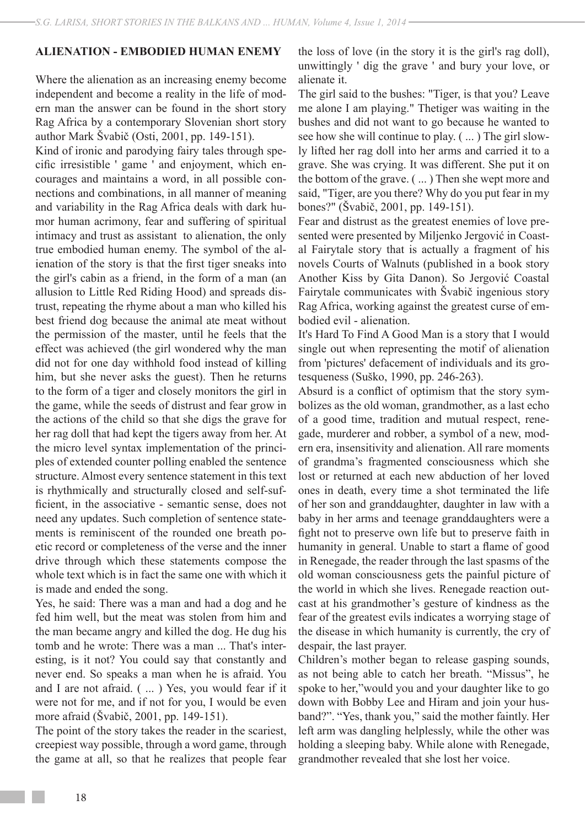### **ALIENATION - EMBODIED HUMAN ENEMY**

Where the alienation as an increasing enemy become independent and become a reality in the life of modern man the answer can be found in the short story Rag Africa by a contemporary Slovenian short story author Mark Švabič (Osti, 2001, pp. 149-151).

Kind of ironic and parodying fairy tales through specific irresistible ' game ' and enjoyment, which encourages and maintains a word, in all possible connections and combinations, in all manner of meaning and variability in the Rag Africa deals with dark humor human acrimony, fear and suffering of spiritual intimacy and trust as assistant to alienation, the only true embodied human enemy. The symbol of the alienation of the story is that the first tiger sneaks into the girl's cabin as a friend, in the form of a man (an allusion to Little Red Riding Hood) and spreads distrust, repeating the rhyme about a man who killed his best friend dog because the animal ate meat without the permission of the master, until he feels that the effect was achieved (the girl wondered why the man did not for one day withhold food instead of killing him, but she never asks the guest). Then he returns to the form of a tiger and closely monitors the girl in the game, while the seeds of distrust and fear grow in the actions of the child so that she digs the grave for her rag doll that had kept the tigers away from her. At the micro level syntax implementation of the principles of extended counter polling enabled the sentence structure. Almost every sentence statement in this text is rhythmically and structurally closed and self-sufficient, in the associative - semantic sense, does not need any updates. Such completion of sentence statements is reminiscent of the rounded one breath poetic record or completeness of the verse and the inner drive through which these statements compose the whole text which is in fact the same one with which it is made and ended the song.

Yes, he said: There was a man and had a dog and he fed him well, but the meat was stolen from him and the man became angry and killed the dog. He dug his tomb and he wrote: There was a man ... That's interesting, is it not? You could say that constantly and never end. So speaks a man when he is afraid. You and I are not afraid. ( ... ) Yes, you would fear if it were not for me, and if not for you, I would be even more afraid (Švabič, 2001, pp. 149-151).

The point of the story takes the reader in the scariest, creepiest way possible, through a word game, through the game at all, so that he realizes that people fear the loss of love (in the story it is the girl's rag doll), unwittingly ' dig the grave ' and bury your love, or alienate it.

The girl said to the bushes: "Tiger, is that you? Leave me alone I am playing." Thetiger was waiting in the bushes and did not want to go because he wanted to see how she will continue to play. ( ... ) The girl slowly lifted her rag doll into her arms and carried it to a grave. She was crying. It was different. She put it on the bottom of the grave. ( ... ) Then she wept more and said, "Tiger, are you there? Why do you put fear in my bones?" (Švabič, 2001, pp. 149-151).

Fear and distrust as the greatest enemies of love presented were presented by Miljenko Jergović in Coastal Fairytale story that is actually a fragment of his novels Courts of Walnuts (published in a book story Another Kiss by Gita Danon). So Jergović Coastal Fairytale communicates with Švabič ingenious story Rag Africa, working against the greatest curse of embodied evil - alienation.

It's Hard To Find A Good Man is a story that I would single out when representing the motif of alienation from 'pictures' defacement of individuals and its grotesqueness (Suško, 1990, pp. 246-263).

Absurd is a conflict of optimism that the story symbolizes as the old woman, grandmother, as a last echo of a good time, tradition and mutual respect, renegade, murderer and robber, a symbol of a new, modern era, insensitivity and alienation. All rare moments of grandma's fragmented consciousness which she lost or returned at each new abduction of her loved ones in death, every time a shot terminated the life of her son and granddaughter, daughter in law with a baby in her arms and teenage granddaughters were a fight not to preserve own life but to preserve faith in humanity in general. Unable to start a flame of good in Renegade, the reader through the last spasms of the old woman consciousness gets the painful picture of the world in which she lives. Renegade reaction outcast at his grandmother's gesture of kindness as the fear of the greatest evils indicates a worrying stage of the disease in which humanity is currently, the cry of despair, the last prayer.

Children's mother began to release gasping sounds, as not being able to catch her breath. "Missus", he spoke to her,"would you and your daughter like to go down with Bobby Lee and Hiram and join your husband?". "Yes, thank you," said the mother faintly. Her left arm was dangling helplessly, while the other was holding a sleeping baby. While alone with Renegade, grandmother revealed that she lost her voice.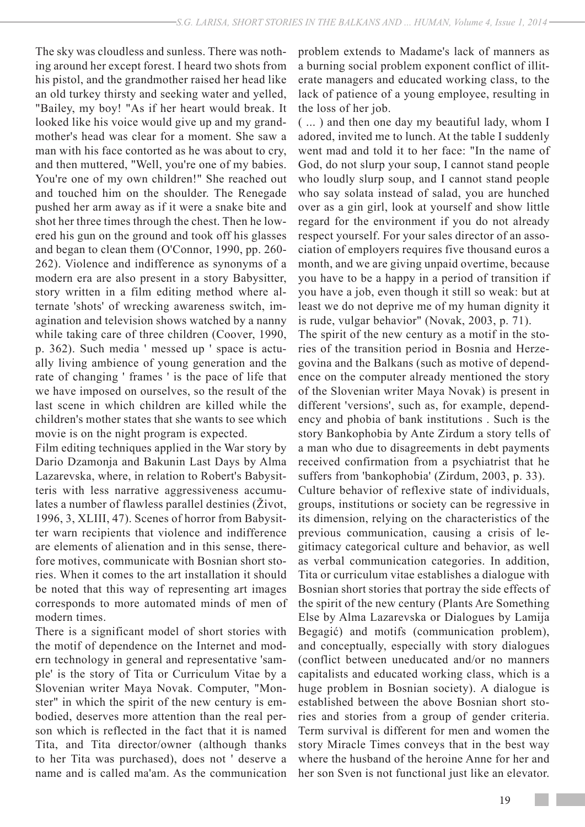The sky was cloudless and sunless. There was nothing around her except forest. I heard two shots from his pistol, and the grandmother raised her head like an old turkey thirsty and seeking water and yelled, "Bailey, my boy! "As if her heart would break. It looked like his voice would give up and my grandmother's head was clear for a moment. She saw a man with his face contorted as he was about to cry, and then muttered, "Well, you're one of my babies. You're one of my own children!" She reached out and touched him on the shoulder. The Renegade pushed her arm away as if it were a snake bite and shot her three times through the chest. Then he lowered his gun on the ground and took off his glasses and began to clean them (O'Connor, 1990, pp. 260- 262). Violence and indifference as synonyms of a modern era are also present in a story Babysitter, story written in a film editing method where alternate 'shots' of wrecking awareness switch, imagination and television shows watched by a nanny while taking care of three children (Coover, 1990, p. 362). Such media ' messed up ' space is actually living ambience of young generation and the rate of changing ' frames ' is the pace of life that we have imposed on ourselves, so the result of the last scene in which children are killed while the children's mother states that she wants to see which movie is on the night program is expected.

Film editing techniques applied in the War story by Dario Dzamonja and Bakunin Last Days by Alma Lazarevska, where, in relation to Robert's Babysitteris with less narrative aggressiveness accumulates a number of flawless parallel destinies (Život, 1996, 3, XLIII, 47). Scenes of horror from Babysitter warn recipients that violence and indifference are elements of alienation and in this sense, therefore motives, communicate with Bosnian short stories. When it comes to the art installation it should be noted that this way of representing art images corresponds to more automated minds of men of modern times.

There is a significant model of short stories with the motif of dependence on the Internet and modern technology in general and representative 'sample' is the story of Tita or Curriculum Vitae by a Slovenian writer Maya Novak. Computer, "Monster" in which the spirit of the new century is embodied, deserves more attention than the real person which is reflected in the fact that it is named Tita, and Tita director/owner (although thanks to her Tita was purchased), does not ' deserve a name and is called ma'am. As the communication

problem extends to Madame's lack of manners as a burning social problem exponent conflict of illiterate managers and educated working class, to the lack of patience of a young employee, resulting in the loss of her job.

( ... ) and then one day my beautiful lady, whom I adored, invited me to lunch. At the table I suddenly went mad and told it to her face: "In the name of God, do not slurp your soup, I cannot stand people who loudly slurp soup, and I cannot stand people who say solata instead of salad, you are hunched over as a gin girl, look at yourself and show little regard for the environment if you do not already respect yourself. For your sales director of an association of employers requires five thousand euros a month, and we are giving unpaid overtime, because you have to be a happy in a period of transition if you have a job, even though it still so weak: but at least we do not deprive me of my human dignity it is rude, vulgar behavior" (Novak, 2003, p. 71).

The spirit of the new century as a motif in the stories of the transition period in Bosnia and Herzegovina and the Balkans (such as motive of dependence on the computer already mentioned the story of the Slovenian writer Maya Novak) is present in different 'versions', such as, for example, dependency and phobia of bank institutions . Such is the story Bankophobia by Ante Zirdum a story tells of a man who due to disagreements in debt payments received confirmation from a psychiatrist that he suffers from 'bankophobia' (Zirdum, 2003, p. 33). Culture behavior of reflexive state of individuals, groups, institutions or society can be regressive in its dimension, relying on the characteristics of the previous communication, causing a crisis of legitimacy categorical culture and behavior, as well as verbal communication categories. In addition, Tita or curriculum vitae establishes a dialogue with Bosnian short stories that portray the side effects of the spirit of the new century (Plants Are Something Else by Alma Lazarevska or Dialogues by Lamija Begagić) and motifs (communication problem), and conceptually, especially with story dialogues (conflict between uneducated and/or no manners capitalists and educated working class, which is a huge problem in Bosnian society). A dialogue is established between the above Bosnian short stories and stories from a group of gender criteria. Term survival is different for men and women the story Miracle Times conveys that in the best way where the husband of the heroine Anne for her and her son Sven is not functional just like an elevator.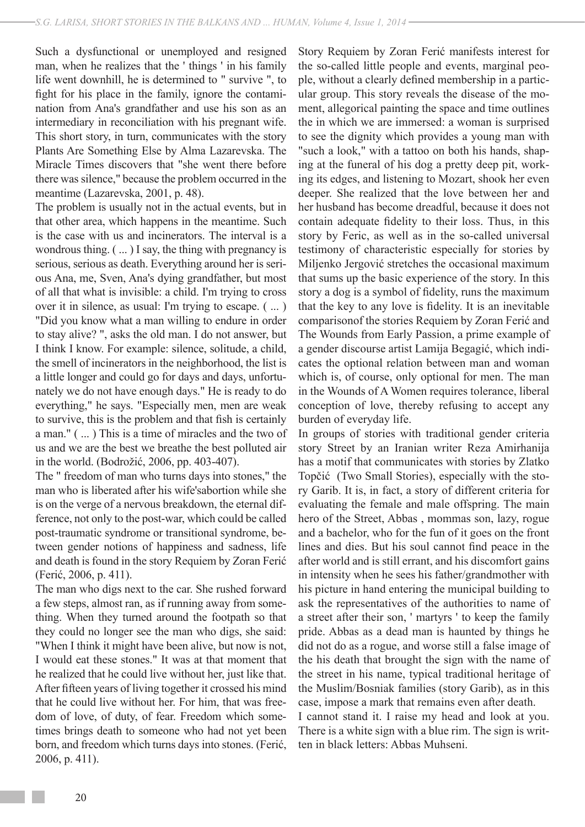Such a dysfunctional or unemployed and resigned man, when he realizes that the ' things ' in his family life went downhill, he is determined to " survive ", to fight for his place in the family, ignore the contamination from Ana's grandfather and use his son as an intermediary in reconciliation with his pregnant wife. This short story, in turn, communicates with the story Plants Are Something Else by Alma Lazarevska. The Miracle Times discovers that "she went there before there was silence," because the problem occurred in the meantime (Lazarevska, 2001, p. 48).

The problem is usually not in the actual events, but in that other area, which happens in the meantime. Such is the case with us and incinerators. The interval is a wondrous thing. ( ... ) I say, the thing with pregnancy is serious, serious as death. Everything around her is serious Ana, me, Sven, Ana's dying grandfather, but most of all that what is invisible: a child. I'm trying to cross over it in silence, as usual: I'm trying to escape. ( ... ) "Did you know what a man willing to endure in order to stay alive? ", asks the old man. I do not answer, but I think I know. For example: silence, solitude, a child, the smell of incinerators in the neighborhood, the list is a little longer and could go for days and days, unfortunately we do not have enough days." He is ready to do everything," he says. "Especially men, men are weak to survive, this is the problem and that fish is certainly a man." ( ... ) This is a time of miracles and the two of us and we are the best we breathe the best polluted air in the world. (Bodrožić, 2006, pp. 403-407).

The " freedom of man who turns days into stones," the man who is liberated after his wife'sabortion while she is on the verge of a nervous breakdown, the eternal difference, not only to the post-war, which could be called post-traumatic syndrome or transitional syndrome, between gender notions of happiness and sadness, life and death is found in the story Requiem by Zoran Ferić (Ferić, 2006, p. 411).

The man who digs next to the car. She rushed forward a few steps, almost ran, as if running away from something. When they turned around the footpath so that they could no longer see the man who digs, she said: "When I think it might have been alive, but now is not, I would eat these stones." It was at that moment that he realized that he could live without her, just like that. After fifteen years of living together it crossed his mind that he could live without her. For him, that was freedom of love, of duty, of fear. Freedom which sometimes brings death to someone who had not yet been born, and freedom which turns days into stones. (Ferić, 2006, p. 411).

Story Requiem by Zoran Ferić manifests interest for the so-called little people and events, marginal people, without a clearly defined membership in a particular group. This story reveals the disease of the moment, allegorical painting the space and time outlines the in which we are immersed: a woman is surprised to see the dignity which provides a young man with "such a look," with a tattoo on both his hands, shaping at the funeral of his dog a pretty deep pit, working its edges, and listening to Mozart, shook her even deeper. She realized that the love between her and her husband has become dreadful, because it does not contain adequate fidelity to their loss. Thus, in this story by Feric, as well as in the so-called universal testimony of characteristic especially for stories by Miljenko Jergović stretches the occasional maximum that sums up the basic experience of the story. In this story a dog is a symbol of fidelity, runs the maximum that the key to any love is fidelity. It is an inevitable comparisonof the stories Requiem by Zoran Ferić and The Wounds from Early Passion, a prime example of a gender discourse artist Lamija Begagić, which indicates the optional relation between man and woman which is, of course, only optional for men. The man in the Wounds of A Women requires tolerance, liberal conception of love, thereby refusing to accept any burden of everyday life.

In groups of stories with traditional gender criteria story Street by an Iranian writer Reza Amirhanija has a motif that communicates with stories by Zlatko Topčić (Two Small Stories), especially with the story Garib. It is, in fact, a story of different criteria for evaluating the female and male offspring. The main hero of the Street, Abbas , mommas son, lazy, rogue and a bachelor, who for the fun of it goes on the front lines and dies. But his soul cannot find peace in the after world and is still errant, and his discomfort gains in intensity when he sees his father/grandmother with his picture in hand entering the municipal building to ask the representatives of the authorities to name of a street after their son, ' martyrs ' to keep the family pride. Abbas as a dead man is haunted by things he did not do as a rogue, and worse still a false image of the his death that brought the sign with the name of the street in his name, typical traditional heritage of the Muslim/Bosniak families (story Garib), as in this case, impose a mark that remains even after death. I cannot stand it. I raise my head and look at you. There is a white sign with a blue rim. The sign is written in black letters: Abbas Muhseni.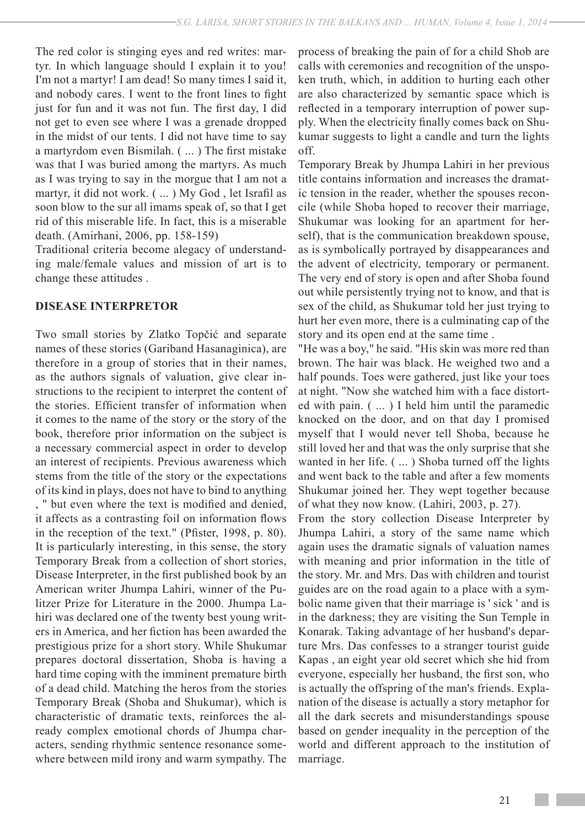The red color is stinging eyes and red writes: martyr. In which language should I explain it to you! I'm not a martyr! I am dead! So many times I said it, and nobody cares. I went to the front lines to fight just for fun and it was not fun. The first day, I did not get to even see where I was a grenade dropped in the midst of our tents. I did not have time to say a martyrdom even Bismilah. ( ... ) The first mistake was that I was buried among the martyrs. As much as I was trying to say in the morgue that I am not a martyr, it did not work. ( ... ) My God , let Israfil as soon blow to the sur all imams speak of, so that I get rid of this miserable life. In fact, this is a miserable death. (Amirhani, 2006, pp. 158-159)

Traditional criteria become alegacy of understanding male/female values and mission of art is to change these attitudes .

## **DISEASE INTERPRETOR**

Two small stories by Zlatko Topčić and separate names of these stories (Gariband Hasanaginica), are therefore in a group of stories that in their names, as the authors signals of valuation, give clear instructions to the recipient to interpret the content of the stories. Efficient transfer of information when it comes to the name of the story or the story of the book, therefore prior information on the subject is a necessary commercial aspect in order to develop an interest of recipients. Previous awareness which stems from the title of the story or the expectations of its kind in plays, does not have to bind to anything , " but even where the text is modified and denied, it affects as a contrasting foil on information flows in the reception of the text." (Pfister, 1998, p. 80). It is particularly interesting, in this sense, the story Temporary Break from a collection of short stories, Disease Interpreter, in the first published book by an American writer Jhumpa Lahiri, winner of the Pulitzer Prize for Literature in the 2000. Jhumpa Lahiri was declared one of the twenty best young writers in America, and her fiction has been awarded the prestigious prize for a short story. While Shukumar prepares doctoral dissertation, Shoba is having a hard time coping with the imminent premature birth of a dead child. Matching the heros from the stories Temporary Break (Shoba and Shukumar), which is characteristic of dramatic texts, reinforces the already complex emotional chords of Jhumpa characters, sending rhythmic sentence resonance somewhere between mild irony and warm sympathy. The

process of breaking the pain of for a child Shob are calls with ceremonies and recognition of the unspoken truth, which, in addition to hurting each other are also characterized by semantic space which is reflected in a temporary interruption of power supply. When the electricity finally comes back on Shukumar suggests to light a candle and turn the lights off.

Temporary Break by Jhumpa Lahiri in her previous title contains information and increases the dramatic tension in the reader, whether the spouses reconcile (while Shoba hoped to recover their marriage, Shukumar was looking for an apartment for herself), that is the communication breakdown spouse, as is symbolically portrayed by disappearances and the advent of electricity, temporary or permanent. The very end of story is open and after Shoba found out while persistently trying not to know, and that is sex of the child, as Shukumar told her just trying to hurt her even more, there is a culminating cap of the story and its open end at the same time .

"He was a boy," he said. "His skin was more red than brown. The hair was black. He weighed two and a half pounds. Toes were gathered, just like your toes at night. "Now she watched him with a face distorted with pain. ( ... ) I held him until the paramedic knocked on the door, and on that day I promised myself that I would never tell Shoba, because he still loved her and that was the only surprise that she wanted in her life. ( ... ) Shoba turned off the lights and went back to the table and after a few moments Shukumar joined her. They wept together because of what they now know. (Lahiri, 2003, p. 27).

From the story collection Disease Interpreter by Jhumpa Lahiri, a story of the same name which again uses the dramatic signals of valuation names with meaning and prior information in the title of the story. Mr. and Mrs. Das with children and tourist guides are on the road again to a place with a symbolic name given that their marriage is ' sick ' and is in the darkness; they are visiting the Sun Temple in Konarak. Taking advantage of her husband's departure Mrs. Das confesses to a stranger tourist guide Kapas , an eight year old secret which she hid from everyone, especially her husband, the first son, who is actually the offspring of the man's friends. Explanation of the disease is actually a story metaphor for all the dark secrets and misunderstandings spouse based on gender inequality in the perception of the world and different approach to the institution of marriage.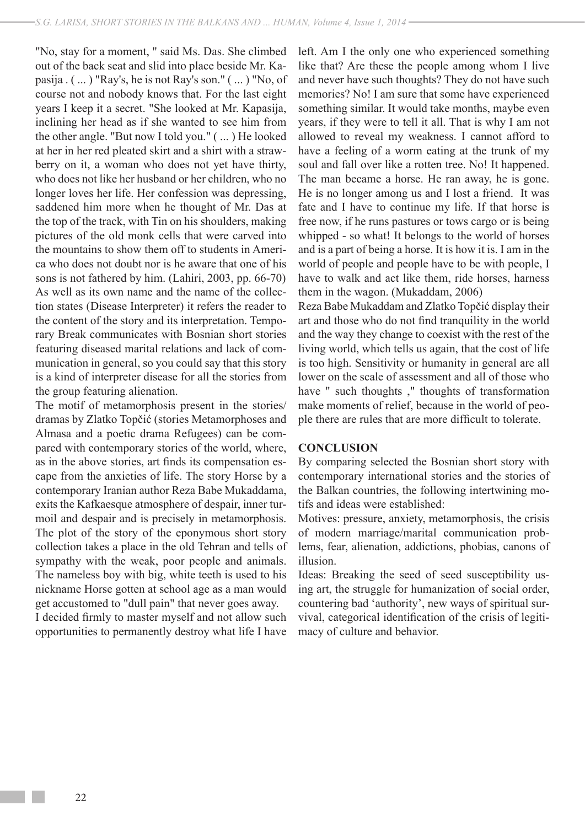"No, stay for a moment, " said Ms. Das. She climbed out of the back seat and slid into place beside Mr. Kapasija . ( ... ) "Ray's, he is not Ray's son." ( ... ) "No, of course not and nobody knows that. For the last eight years I keep it a secret. "She looked at Mr. Kapasija, inclining her head as if she wanted to see him from the other angle. "But now I told you." ( ... ) He looked at her in her red pleated skirt and a shirt with a strawberry on it, a woman who does not yet have thirty, who does not like her husband or her children, who no longer loves her life. Her confession was depressing, saddened him more when he thought of Mr. Das at the top of the track, with Tin on his shoulders, making pictures of the old monk cells that were carved into the mountains to show them off to students in America who does not doubt nor is he aware that one of his sons is not fathered by him. (Lahiri, 2003, pp. 66-70) As well as its own name and the name of the collection states (Disease Interpreter) it refers the reader to the content of the story and its interpretation. Temporary Break communicates with Bosnian short stories featuring diseased marital relations and lack of communication in general, so you could say that this story is a kind of interpreter disease for all the stories from the group featuring alienation.

The motif of metamorphosis present in the stories/ dramas by Zlatko Topčić (stories Metamorphoses and Almasa and a poetic drama Refugees) can be compared with contemporary stories of the world, where, as in the above stories, art finds its compensation escape from the anxieties of life. The story Horse by a contemporary Iranian author Reza Babe Mukaddama, exits the Kafkaesque atmosphere of despair, inner turmoil and despair and is precisely in metamorphosis. The plot of the story of the eponymous short story collection takes a place in the old Tehran and tells of sympathy with the weak, poor people and animals. The nameless boy with big, white teeth is used to his nickname Horse gotten at school age as a man would get accustomed to "dull pain" that never goes away.

I decided firmly to master myself and not allow such opportunities to permanently destroy what life I have left. Am I the only one who experienced something like that? Are these the people among whom I live and never have such thoughts? They do not have such memories? No! I am sure that some have experienced something similar. It would take months, maybe even years, if they were to tell it all. That is why I am not allowed to reveal my weakness. I cannot afford to have a feeling of a worm eating at the trunk of my soul and fall over like a rotten tree. No! It happened. The man became a horse. He ran away, he is gone. He is no longer among us and I lost a friend. It was fate and I have to continue my life. If that horse is free now, if he runs pastures or tows cargo or is being whipped - so what! It belongs to the world of horses and is a part of being a horse. It is how it is. I am in the world of people and people have to be with people, I have to walk and act like them, ride horses, harness them in the wagon. (Mukaddam, 2006)

Reza Babe Mukaddam and Zlatko Topčić display their art and those who do not find tranquility in the world and the way they change to coexist with the rest of the living world, which tells us again, that the cost of life is too high. Sensitivity or humanity in general are all lower on the scale of assessment and all of those who have " such thoughts ," thoughts of transformation make moments of relief, because in the world of people there are rules that are more difficult to tolerate.

#### **CONCLUSION**

By comparing selected the Bosnian short story with contemporary international stories and the stories of the Balkan countries, the following intertwining motifs and ideas were established:

Motives: pressure, anxiety, metamorphosis, the crisis of modern marriage/marital communication problems, fear, alienation, addictions, phobias, canons of illusion.

Ideas: Breaking the seed of seed susceptibility using art, the struggle for humanization of social order, countering bad 'authority', new ways of spiritual survival, categorical identification of the crisis of legitimacy of culture and behavior.